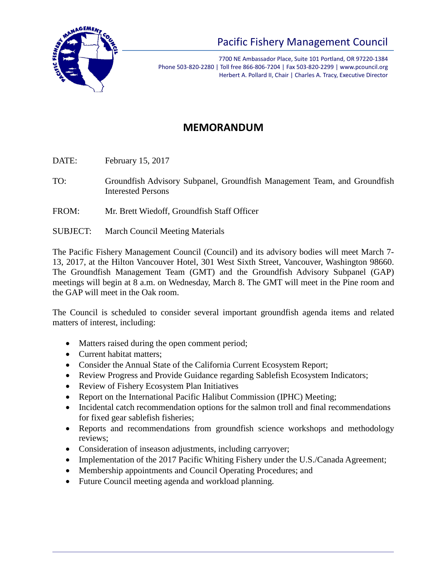

## Pacific Fishery Management Council

7700 NE Ambassador Place, Suite 101 Portland, OR 97220-1384 Phone 503-820-2280 | Toll free 866-806-7204 | Fax 503-820-2299 | www.pcouncil.org Herbert A. Pollard II, Chair | Charles A. Tracy, Executive Director

## **MEMORANDUM**

DATE: February 15, 2017

- TO: Groundfish Advisory Subpanel, Groundfish Management Team, and Groundfish Interested Persons
- FROM: Mr. Brett Wiedoff, Groundfish Staff Officer
- SUBJECT: March Council Meeting Materials

The Pacific Fishery Management Council (Council) and its advisory bodies will meet March 7- 13, 2017, at the Hilton Vancouver Hotel, 301 West Sixth Street, Vancouver, Washington 98660. The Groundfish Management Team (GMT) and the Groundfish Advisory Subpanel (GAP) meetings will begin at 8 a.m. on Wednesday, March 8. The GMT will meet in the Pine room and the GAP will meet in the Oak room.

The Council is scheduled to consider several important groundfish agenda items and related matters of interest, including:

- Matters raised during the open comment period;
- Current habitat matters:
- Consider the Annual State of the California Current Ecosystem Report;
- Review Progress and Provide Guidance regarding Sablefish Ecosystem Indicators;
- Review of Fishery Ecosystem Plan Initiatives
- Report on the International Pacific Halibut Commission (IPHC) Meeting;
- Incidental catch recommendation options for the salmon troll and final recommendations for fixed gear sablefish fisheries;
- Reports and recommendations from groundfish science workshops and methodology reviews;
- Consideration of inseason adjustments, including carryover;
- Implementation of the 2017 Pacific Whiting Fishery under the U.S./Canada Agreement;
- Membership appointments and Council Operating Procedures; and
- Future Council meeting agenda and workload planning.